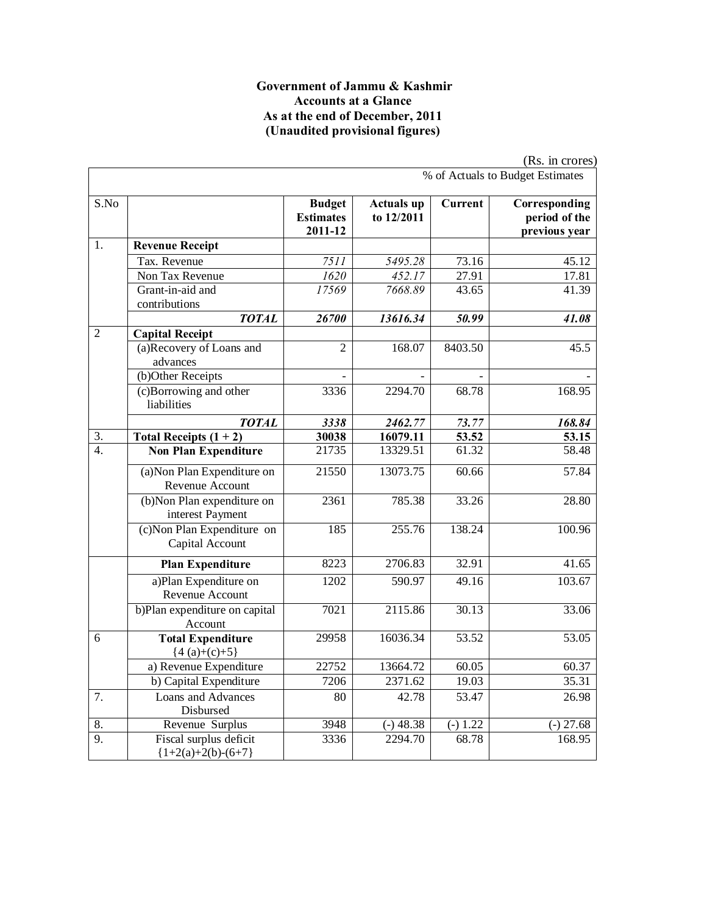#### **Government of Jammu & Kashmir Accounts at a Glance As at the end of December, 2011 (Unaudited provisional figures)**

|                  |                                                 |                                              |                                 |            | (Rs. in crores)                                 |
|------------------|-------------------------------------------------|----------------------------------------------|---------------------------------|------------|-------------------------------------------------|
|                  |                                                 |                                              |                                 |            | % of Actuals to Budget Estimates                |
| S.No             |                                                 | <b>Budget</b><br><b>Estimates</b><br>2011-12 | <b>Actuals up</b><br>to 12/2011 | Current    | Corresponding<br>period of the<br>previous year |
| 1.               | <b>Revenue Receipt</b>                          |                                              |                                 |            |                                                 |
|                  | Tax. Revenue                                    | 7511                                         | 5495.28                         | 73.16      | 45.12                                           |
|                  | Non Tax Revenue                                 | 1620                                         | 452.17                          | 27.91      | 17.81                                           |
|                  | Grant-in-aid and<br>contributions               | 17569                                        | 7668.89                         | 43.65      | 41.39                                           |
|                  | <b>TOTAL</b>                                    | 26700                                        | 13616.34                        | 50.99      | 41.08                                           |
| $\overline{2}$   | <b>Capital Receipt</b>                          |                                              |                                 |            |                                                 |
|                  | (a)Recovery of Loans and<br>advances            | $\overline{2}$                               | 168.07                          | 8403.50    | 45.5                                            |
|                  | (b)Other Receipts                               |                                              |                                 |            |                                                 |
|                  | (c)Borrowing and other<br>liabilities           | 3336                                         | 2294.70                         | 68.78      | 168.95                                          |
|                  | <b>TOTAL</b>                                    | 3338                                         | 2462.77                         | 73.77      | 168.84                                          |
| 3.               | Total Receipts $(1 + 2)$                        | 30038                                        | 16079.11                        | 53.52      | 53.15                                           |
| $\overline{4}$ . | <b>Non Plan Expenditure</b>                     | 21735                                        | 13329.51                        | 61.32      | 58.48                                           |
|                  | (a) Non Plan Expenditure on<br>Revenue Account  | 21550                                        | 13073.75                        | 60.66      | 57.84                                           |
|                  | (b)Non Plan expenditure on<br>interest Payment  | 2361                                         | 785.38                          | 33.26      | 28.80                                           |
|                  | (c) Non Plan Expenditure on<br>Capital Account  | 185                                          | 255.76                          | 138.24     | 100.96                                          |
|                  | <b>Plan Expenditure</b>                         | 8223                                         | 2706.83                         | 32.91      | $\overline{4}1.65$                              |
|                  | a)Plan Expenditure on<br>Revenue Account        | 1202                                         | 590.97                          | 49.16      | 103.67                                          |
|                  | b)Plan expenditure on capital<br>Account        | 7021                                         | 2115.86                         | 30.13      | 33.06                                           |
| 6                | <b>Total Expenditure</b><br>${4(a)+(c)+5}$      | 29958                                        | 16036.34                        | 53.52      | 53.05                                           |
|                  | a) Revenue Expenditure                          | 22752                                        | 13664.72                        | 60.05      | 60.37                                           |
|                  | b) Capital Expenditure                          | 7206                                         | 2371.62                         | 19.03      | 35.31                                           |
| 7.               | Loans and Advances<br>Disbursed                 | 80                                           | 42.78                           | 53.47      | 26.98                                           |
| 8.               | Revenue Surplus                                 | 3948                                         | $(-)$ 48.38                     | $(-) 1.22$ | $(-) 27.68$                                     |
| 9.               | Fiscal surplus deficit<br>${1+2(a)+2(b)-(6+7)}$ | 3336                                         | 2294.70                         | 68.78      | 168.95                                          |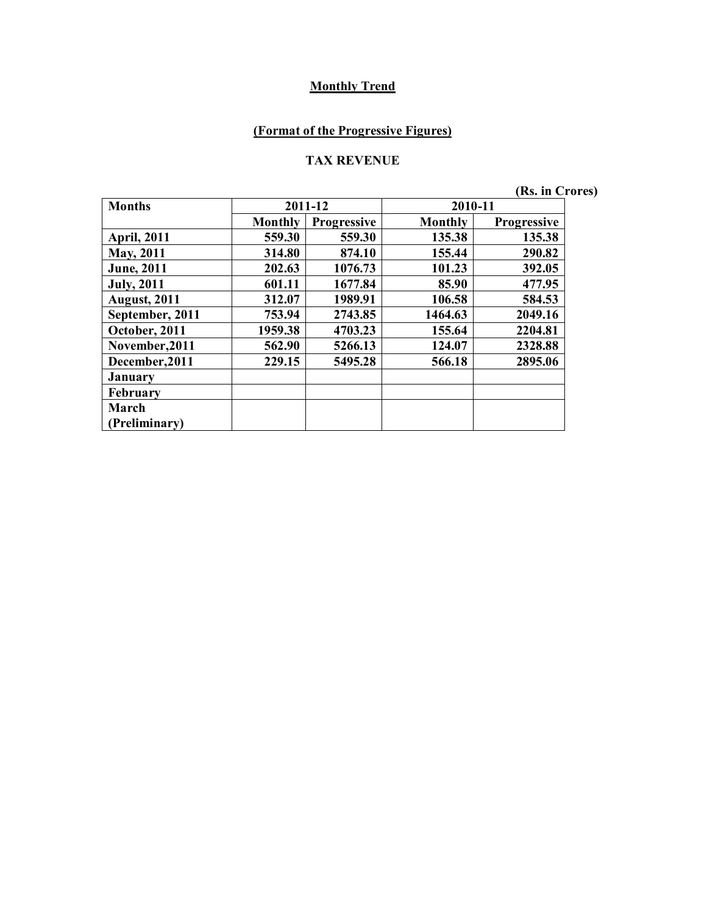## **(Format of the Progressive Figures)**

#### **TAX REVENUE**

**(Rs. in Crores)**

| <b>Months</b>       |                | 2011-12            | 2010-11        |                    |
|---------------------|----------------|--------------------|----------------|--------------------|
|                     | <b>Monthly</b> | <b>Progressive</b> | <b>Monthly</b> | <b>Progressive</b> |
| <b>April, 2011</b>  | 559.30         | 559.30             | 135.38         | 135.38             |
| May, 2011           | 314.80         | 874.10             | 155.44         | 290.82             |
| <b>June</b> , 2011  | 202.63         | 1076.73            | 101.23         | 392.05             |
| <b>July, 2011</b>   | 601.11         | 1677.84            | 85.90          | 477.95             |
| <b>August, 2011</b> | 312.07         | 1989.91            | 106.58         | 584.53             |
| September, 2011     | 753.94         | 2743.85            | 1464.63        | 2049.16            |
| October, 2011       | 1959.38        | 4703.23            | 155.64         | 2204.81            |
| November, 2011      | 562.90         | 5266.13            | 124.07         | 2328.88            |
| December, 2011      | 229.15         | 5495.28            | 566.18         | 2895.06            |
| <b>January</b>      |                |                    |                |                    |
| <b>February</b>     |                |                    |                |                    |
| March               |                |                    |                |                    |
| (Preliminary)       |                |                    |                |                    |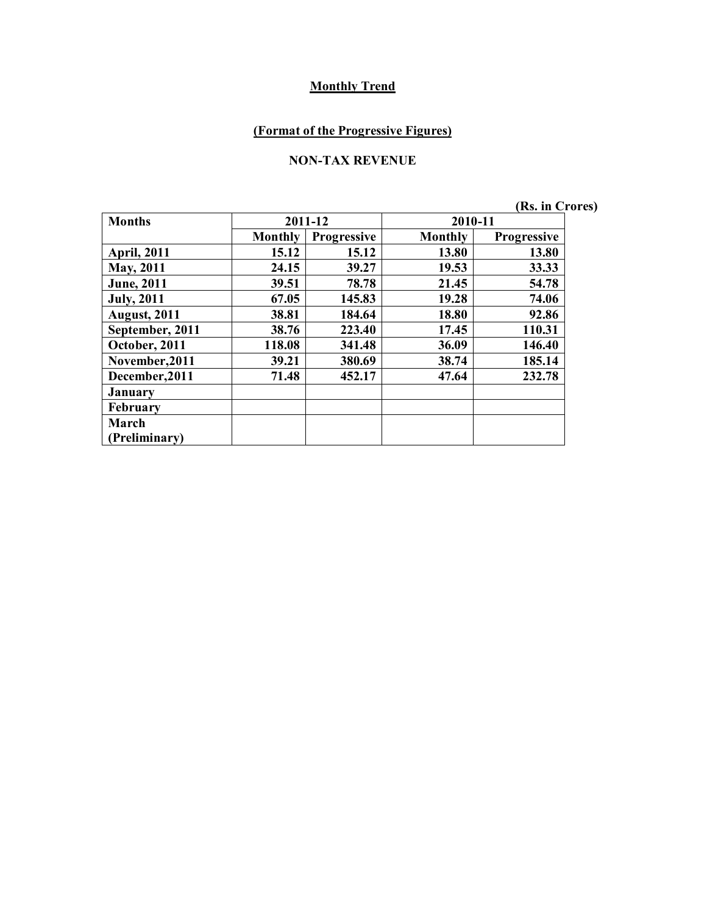## **(Format of the Progressive Figures)**

#### **NON-TAX REVENUE**

**(Rs. in Crores)**

| <b>Months</b>       |                | 2011-12     | 2010-11 |                    |  |
|---------------------|----------------|-------------|---------|--------------------|--|
|                     | <b>Monthly</b> | Progressive | Monthly | <b>Progressive</b> |  |
| <b>April, 2011</b>  | 15.12          | 15.12       | 13.80   | 13.80              |  |
| <b>May, 2011</b>    | 24.15          | 39.27       | 19.53   | 33.33              |  |
| <b>June</b> , 2011  | 39.51          | 78.78       | 21.45   | 54.78              |  |
| <b>July, 2011</b>   | 67.05          | 145.83      | 19.28   | 74.06              |  |
| <b>August, 2011</b> | 38.81          | 184.64      | 18.80   | 92.86              |  |
| September, 2011     | 38.76          | 223.40      | 17.45   | 110.31             |  |
| October, 2011       | 118.08         | 341.48      | 36.09   | 146.40             |  |
| November, 2011      | 39.21          | 380.69      | 38.74   | 185.14             |  |
| December, 2011      | 71.48          | 452.17      | 47.64   | 232.78             |  |
| <b>January</b>      |                |             |         |                    |  |
| February            |                |             |         |                    |  |
| March               |                |             |         |                    |  |
| (Preliminary)       |                |             |         |                    |  |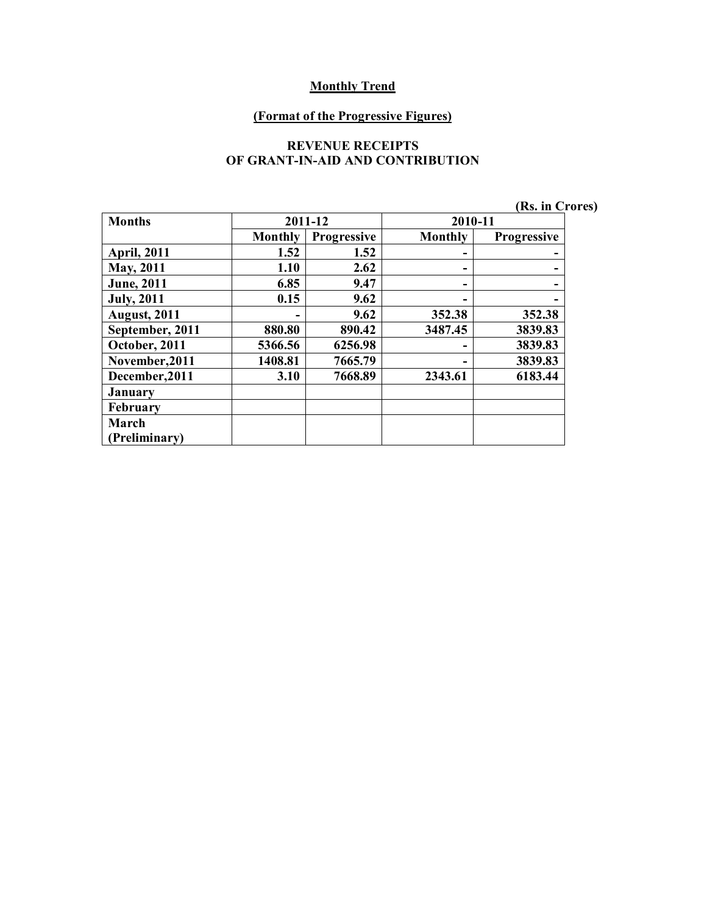#### **(Format of the Progressive Figures)**

#### **REVENUE RECEIPTS OF GRANT-IN-AID AND CONTRIBUTION**

|  | (Rs. in Crores) |  |
|--|-----------------|--|
|  |                 |  |

| <b>Months</b>       |                | 2011-12            |                | 2010-11            |  |
|---------------------|----------------|--------------------|----------------|--------------------|--|
|                     | <b>Monthly</b> | <b>Progressive</b> | <b>Monthly</b> | <b>Progressive</b> |  |
| <b>April, 2011</b>  | 1.52           | 1.52               | -              |                    |  |
| <b>May, 2011</b>    | 1.10           | 2.62               | -              |                    |  |
| <b>June</b> , 2011  | 6.85           | 9.47               | -              |                    |  |
| <b>July, 2011</b>   | 0.15           | 9.62               |                |                    |  |
| <b>August, 2011</b> |                | 9.62               | 352.38         | 352.38             |  |
| September, 2011     | 880.80         | 890.42             | 3487.45        | 3839.83            |  |
| October, 2011       | 5366.56        | 6256.98            | -              | 3839.83            |  |
| November, 2011      | 1408.81        | 7665.79            |                | 3839.83            |  |
| December, 2011      | 3.10           | 7668.89            | 2343.61        | 6183.44            |  |
| <b>January</b>      |                |                    |                |                    |  |
| February            |                |                    |                |                    |  |
| March               |                |                    |                |                    |  |
| Preliminary)        |                |                    |                |                    |  |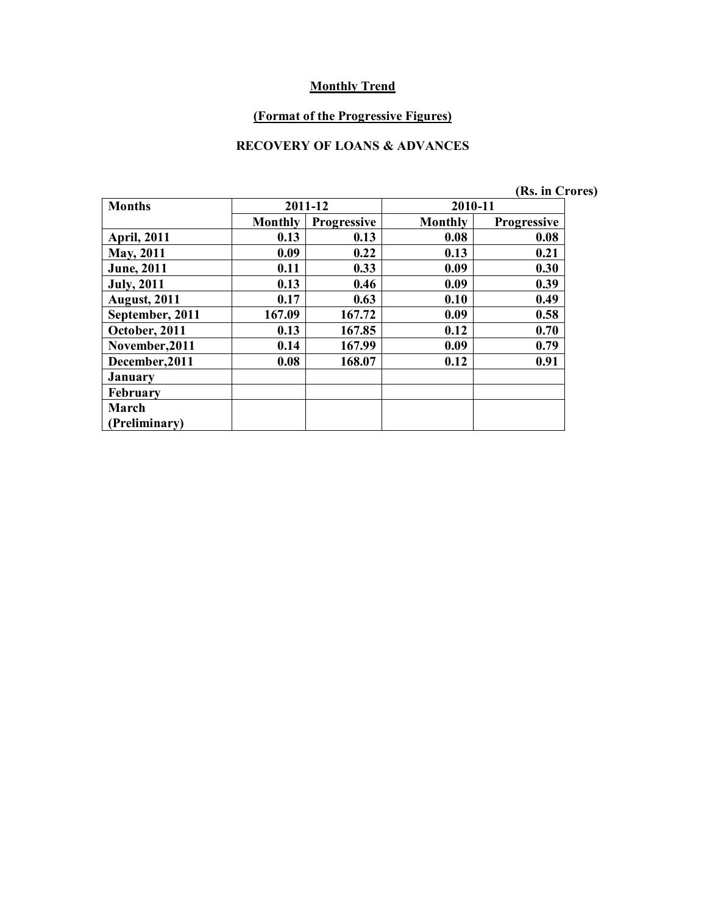#### **(Format of the Progressive Figures)**

### **RECOVERY OF LOANS & ADVANCES**

|                     |                |                    |         | (Rs. in Crores)    |
|---------------------|----------------|--------------------|---------|--------------------|
| <b>Months</b>       |                | 2011-12            | 2010-11 |                    |
|                     | <b>Monthly</b> | <b>Progressive</b> | Monthly | <b>Progressive</b> |
| <b>April, 2011</b>  | 0.13           | 0.13               | 0.08    | 0.08               |
| May, 2011           | 0.09           | 0.22               | 0.13    | 0.21               |
| <b>June</b> , 2011  | 0.11           | 0.33               | 0.09    | 0.30               |
| <b>July</b> , 2011  | 0.13           | 0.46               | 0.09    | 0.39               |
| <b>August, 2011</b> | 0.17           | 0.63               | 0.10    | 0.49               |
| September, 2011     | 167.09         | 167.72             | 0.09    | 0.58               |
| October, 2011       | 0.13           | 167.85             | 0.12    | 0.70               |
| November, 2011      | 0.14           | 167.99             | 0.09    | 0.79               |
| December, 2011      | 0.08           | 168.07             | 0.12    | 0.91               |
| <b>January</b>      |                |                    |         |                    |
| <b>February</b>     |                |                    |         |                    |
| March               |                |                    |         |                    |
| (Preliminary)       |                |                    |         |                    |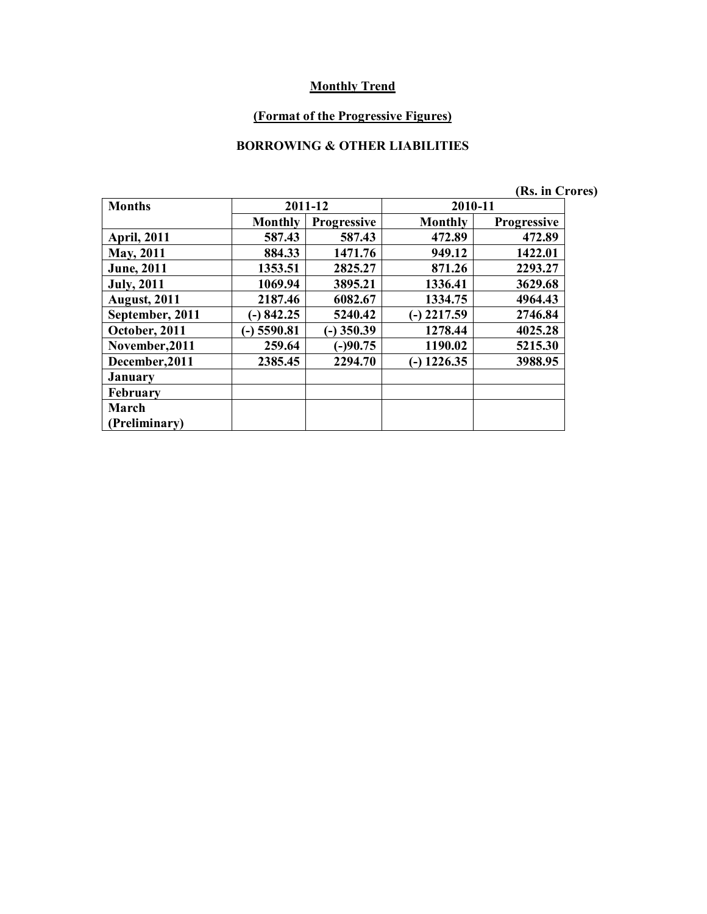#### **(Format of the Progressive Figures)**

### **BORROWING & OTHER LIABILITIES**

|                     |                |                    |               | (Rs. in Crores)    |
|---------------------|----------------|--------------------|---------------|--------------------|
| <b>Months</b>       |                | 2011-12            |               | 2010-11            |
|                     | <b>Monthly</b> | <b>Progressive</b> | Monthly       | <b>Progressive</b> |
| <b>April, 2011</b>  | 587.43         | 587.43             | 472.89        | 472.89             |
| <b>May, 2011</b>    | 884.33         | 1471.76            | 949.12        | 1422.01            |
| <b>June</b> , 2011  | 1353.51        | 2825.27            | 871.26        | 2293.27            |
| <b>July</b> , 2011  | 1069.94        | 3895.21            | 1336.41       | 3629.68            |
| <b>August, 2011</b> | 2187.46        | 6082.67            | 1334.75       | 4964.43            |
| September, 2011     | $(-) 842.25$   | 5240.42            | $(-)$ 2217.59 | 2746.84            |
| October, 2011       | $-$ ) 5590.81  | $-$ ) 350.39       | 1278.44       | 4025.28            |
| November, 2011      | 259.64         | $(-)90.75$         | 1190.02       | 5215.30            |
| December, 2011      | 2385.45        | 2294.70            | $-$ ) 1226.35 | 3988.95            |
| <b>January</b>      |                |                    |               |                    |
| <b>February</b>     |                |                    |               |                    |
| March               |                |                    |               |                    |
| (Preliminary)       |                |                    |               |                    |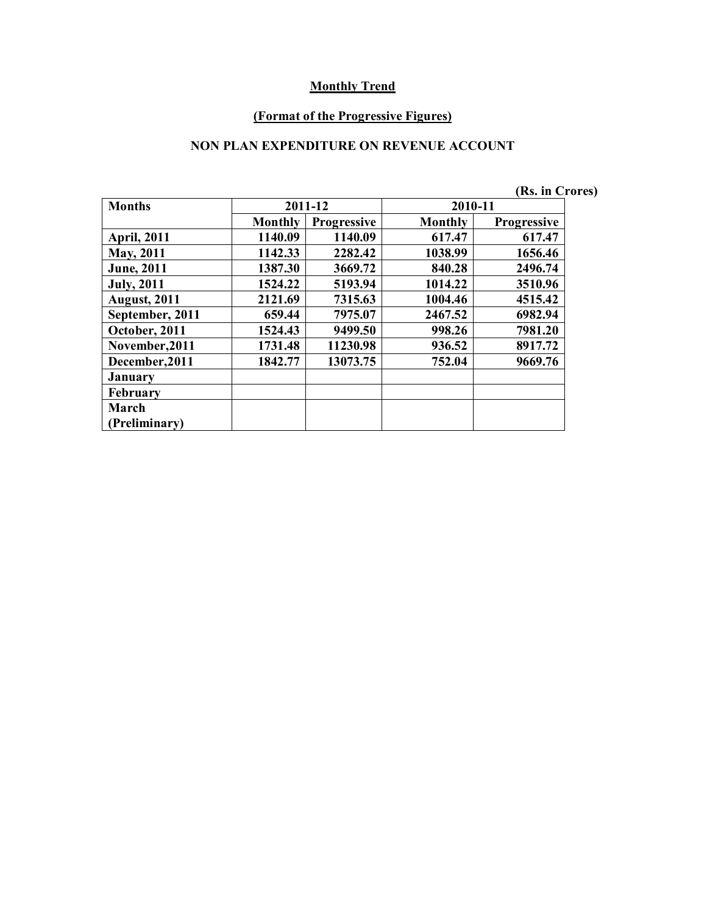#### **(Format of the Progressive Figures)**

#### **NON PLAN EXPENDITURE ON REVENUE ACCOUNT**

|                     |                |                    |                | (Rs. in Crores)    |
|---------------------|----------------|--------------------|----------------|--------------------|
| <b>Months</b>       |                | 2011-12            | 2010-11        |                    |
|                     | <b>Monthly</b> | <b>Progressive</b> | <b>Monthly</b> | <b>Progressive</b> |
| <b>April, 2011</b>  | 1140.09        | 1140.09            | 617.47         | 617.47             |
| <b>May, 2011</b>    | 1142.33        | 2282.42            | 1038.99        | 1656.46            |
| <b>June</b> , 2011  | 1387.30        | 3669.72            | 840.28         | 2496.74            |
| <b>July, 2011</b>   | 1524.22        | 5193.94            | 1014.22        | 3510.96            |
| <b>August, 2011</b> | 2121.69        | 7315.63            | 1004.46        | 4515.42            |
| September, 2011     | 659.44         | 7975.07            | 2467.52        | 6982.94            |
| October, 2011       | 1524.43        | 9499.50            | 998.26         | 7981.20            |
| November, 2011      | 1731.48        | 11230.98           | 936.52         | 8917.72            |
| December, 2011      | 1842.77        | 13073.75           | 752.04         | 9669.76            |
| January             |                |                    |                |                    |
| <b>February</b>     |                |                    |                |                    |
| March               |                |                    |                |                    |
| (Preliminary)       |                |                    |                |                    |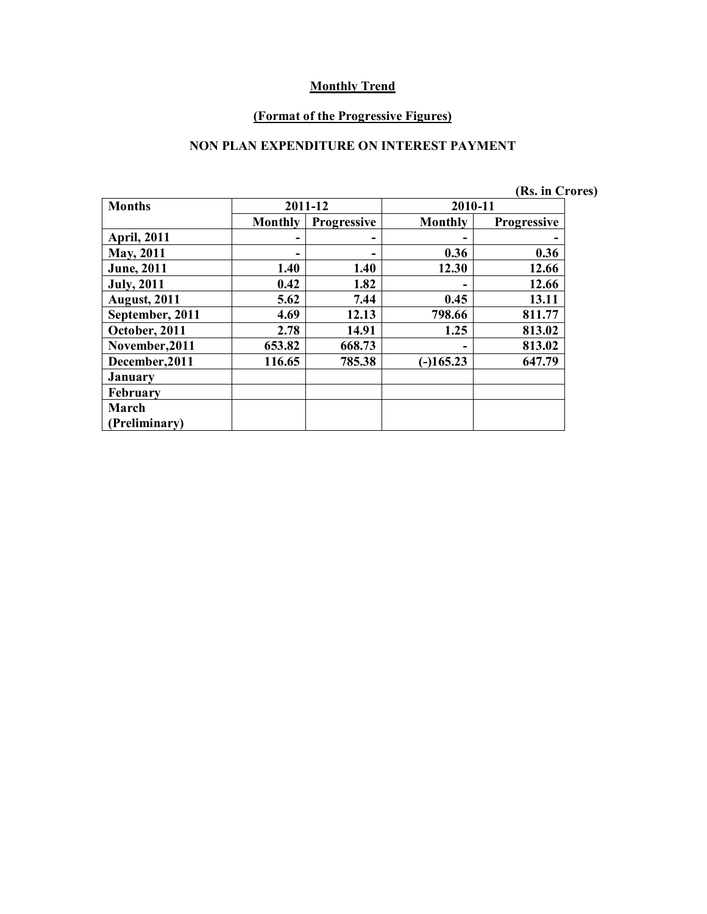#### **(Format of the Progressive Figures)**

#### **NON PLAN EXPENDITURE ON INTEREST PAYMENT**

|                     |                |                    |                | (Rs. in Crores)    |  |
|---------------------|----------------|--------------------|----------------|--------------------|--|
| <b>Months</b>       |                | 2011-12            | 2010-11        |                    |  |
|                     | <b>Monthly</b> | <b>Progressive</b> | <b>Monthly</b> | <b>Progressive</b> |  |
| <b>April, 2011</b>  |                |                    |                |                    |  |
| <b>May, 2011</b>    |                |                    | 0.36           | 0.36               |  |
| <b>June</b> , 2011  | 1.40           | 1.40               | 12.30          | 12.66              |  |
| <b>July</b> , 2011  | 0.42           | 1.82               |                | 12.66              |  |
| <b>August, 2011</b> | 5.62           | 7.44               | 0.45           | 13.11              |  |
| September, 2011     | 4.69           | 12.13              | 798.66         | 811.77             |  |
| October, 2011       | 2.78           | 14.91              | 1.25           | 813.02             |  |
| November, 2011      | 653.82         | 668.73             |                | 813.02             |  |
| December, 2011      | 116.65         | 785.38             | $(-)165.23$    | 647.79             |  |
| <b>January</b>      |                |                    |                |                    |  |
| <b>February</b>     |                |                    |                |                    |  |
| March               |                |                    |                |                    |  |
| (Preliminary)       |                |                    |                |                    |  |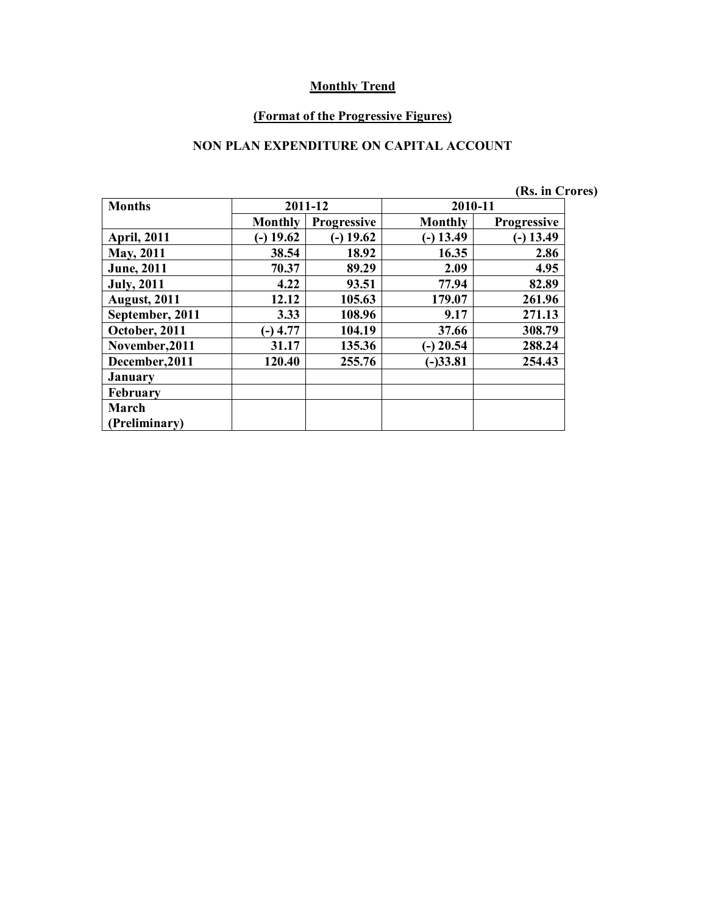#### **(Format of the Progressive Figures)**

### **NON PLAN EXPENDITURE ON CAPITAL ACCOUNT**

|                     |                |                    |             | (Rs. in Crores)    |
|---------------------|----------------|--------------------|-------------|--------------------|
| <b>Months</b>       |                | 2011-12            | 2010-11     |                    |
|                     | <b>Monthly</b> | <b>Progressive</b> | Monthly     | <b>Progressive</b> |
| <b>April, 2011</b>  | $(-)$ 19.62    | $(-)$ 19.62        | $(-)$ 13.49 | $(-)$ 13.49        |
| <b>May, 2011</b>    | 38.54          | 18.92              | 16.35       | 2.86               |
| <b>June</b> , 2011  | 70.37          | 89.29              | 2.09        | 4.95               |
| <b>July, 2011</b>   | 4.22           | 93.51              | 77.94       | 82.89              |
| <b>August, 2011</b> | 12.12          | 105.63             | 179.07      | 261.96             |
| September, 2011     | 3.33           | 108.96             | 9.17        | 271.13             |
| October, 2011       | $-)$ 4.77      | 104.19             | 37.66       | 308.79             |
| November, 2011      | 31.17          | 135.36             | $(-)$ 20.54 | 288.24             |
| December, 2011      | 120.40         | 255.76             | $(-)33.81$  | 254.43             |
| <b>January</b>      |                |                    |             |                    |
| <b>February</b>     |                |                    |             |                    |
| March               |                |                    |             |                    |
| (Preliminary)       |                |                    |             |                    |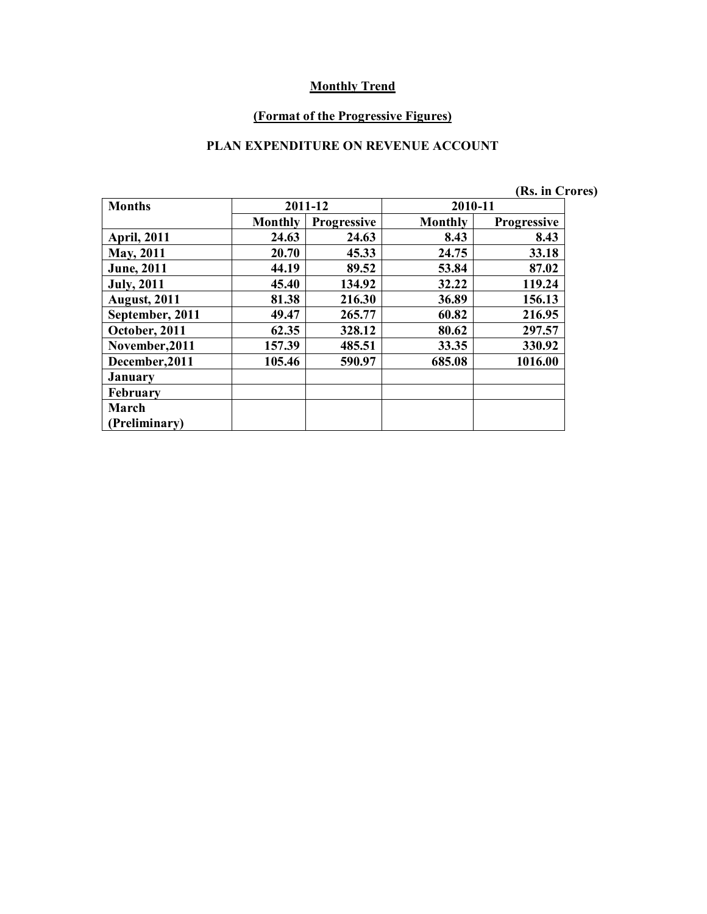#### **(Format of the Progressive Figures)**

## **PLAN EXPENDITURE ON REVENUE ACCOUNT**

|                     |                |                    |         | (Rs. in Crores)    |  |
|---------------------|----------------|--------------------|---------|--------------------|--|
| <b>Months</b>       |                | 2011-12            | 2010-11 |                    |  |
|                     | <b>Monthly</b> | <b>Progressive</b> | Monthly | <b>Progressive</b> |  |
| <b>April, 2011</b>  | 24.63          | 24.63              | 8.43    | 8.43               |  |
| <b>May, 2011</b>    | 20.70          | 45.33              | 24.75   | 33.18              |  |
| <b>June</b> , 2011  | 44.19          | 89.52              | 53.84   | 87.02              |  |
| <b>July, 2011</b>   | 45.40          | 134.92             | 32.22   | 119.24             |  |
| <b>August, 2011</b> | 81.38          | 216.30             | 36.89   | 156.13             |  |
| September, 2011     | 49.47          | 265.77             | 60.82   | 216.95             |  |
| October, 2011       | 62.35          | 328.12             | 80.62   | 297.57             |  |
| November, 2011      | 157.39         | 485.51             | 33.35   | 330.92             |  |
| December, 2011      | 105.46         | 590.97             | 685.08  | 1016.00            |  |
| <b>January</b>      |                |                    |         |                    |  |
| <b>February</b>     |                |                    |         |                    |  |
| March               |                |                    |         |                    |  |
| (Preliminary)       |                |                    |         |                    |  |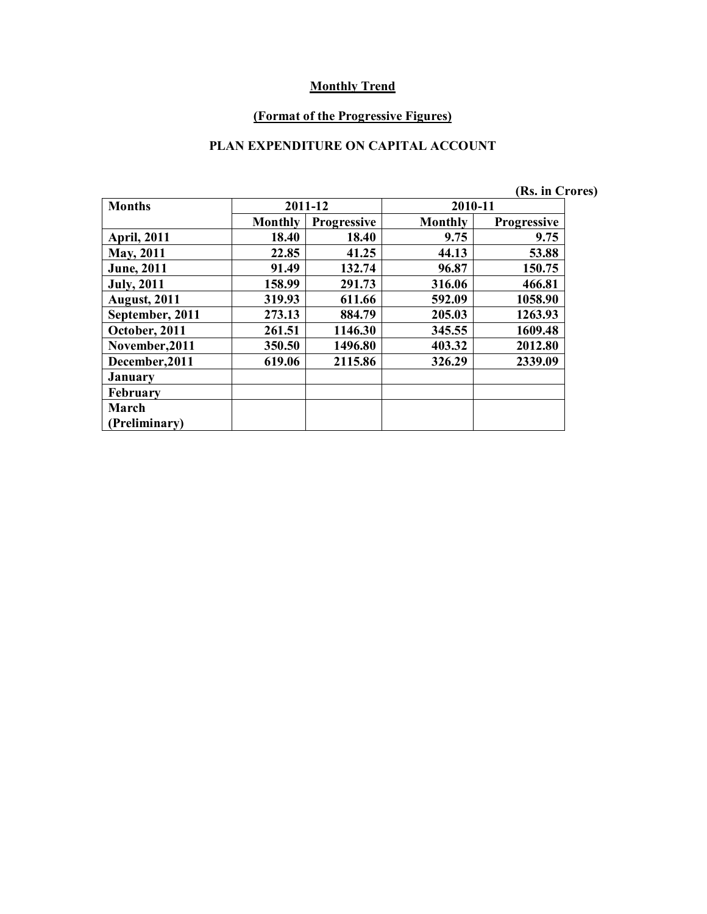#### **(Format of the Progressive Figures)**

## **PLAN EXPENDITURE ON CAPITAL ACCOUNT**

|                     |                |                    |                | (Rs. in Crores)    |
|---------------------|----------------|--------------------|----------------|--------------------|
| <b>Months</b>       | 2011-12        |                    | 2010-11        |                    |
|                     | <b>Monthly</b> | <b>Progressive</b> | <b>Monthly</b> | <b>Progressive</b> |
| <b>April, 2011</b>  | 18.40          | 18.40              | 9.75           | 9.75               |
| <b>May, 2011</b>    | 22.85          | 41.25              | 44.13          | 53.88              |
| <b>June</b> , 2011  | 91.49          | 132.74             | 96.87          | 150.75             |
| <b>July</b> , 2011  | 158.99         | 291.73             | 316.06         | 466.81             |
| <b>August, 2011</b> | 319.93         | 611.66             | 592.09         | 1058.90            |
| September, 2011     | 273.13         | 884.79             | 205.03         | 1263.93            |
| October, 2011       | 261.51         | 1146.30            | 345.55         | 1609.48            |
| November, 2011      | 350.50         | 1496.80            | 403.32         | 2012.80            |
| December, 2011      | 619.06         | 2115.86            | 326.29         | 2339.09            |
| <b>January</b>      |                |                    |                |                    |
| <b>February</b>     |                |                    |                |                    |
| March               |                |                    |                |                    |
| (Preliminary)       |                |                    |                |                    |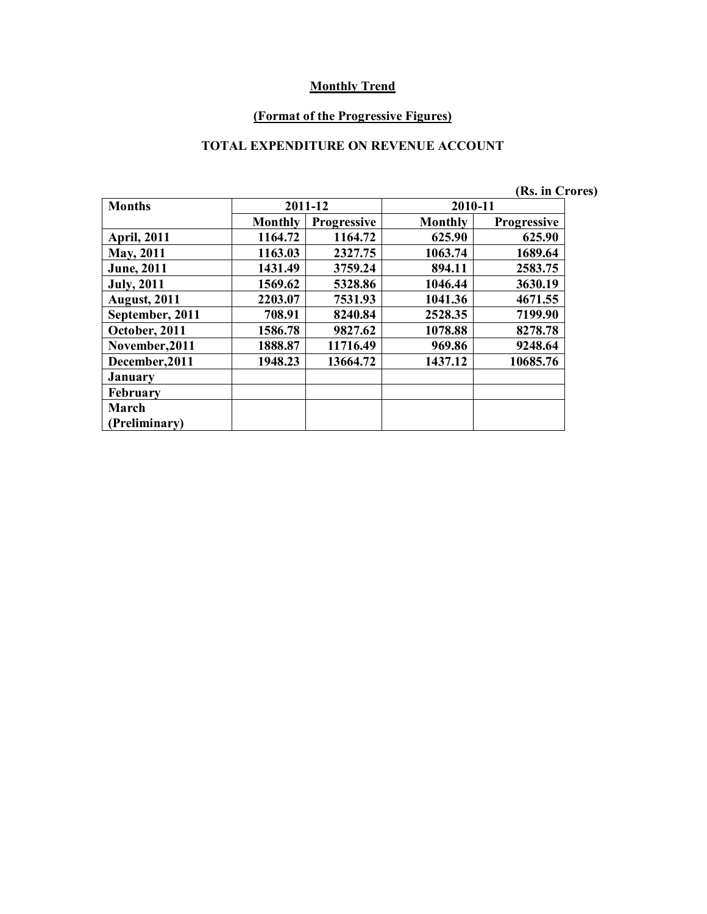#### **(Format of the Progressive Figures)**

### **TOTAL EXPENDITURE ON REVENUE ACCOUNT**

|                     |                |                    |                | (Rs. in Crores)    |  |
|---------------------|----------------|--------------------|----------------|--------------------|--|
| <b>Months</b>       |                | 2011-12            | 2010-11        |                    |  |
|                     | <b>Monthly</b> | <b>Progressive</b> | <b>Monthly</b> | <b>Progressive</b> |  |
| <b>April, 2011</b>  | 1164.72        | 1164.72            | 625.90         | 625.90             |  |
| May, 2011           | 1163.03        | 2327.75            | 1063.74        | 1689.64            |  |
| <b>June</b> , 2011  | 1431.49        | 3759.24            | 894.11         | 2583.75            |  |
| <b>July, 2011</b>   | 1569.62        | 5328.86            | 1046.44        | 3630.19            |  |
| <b>August, 2011</b> | 2203.07        | 7531.93            | 1041.36        | 4671.55            |  |
| September, 2011     | 708.91         | 8240.84            | 2528.35        | 7199.90            |  |
| October, 2011       | 1586.78        | 9827.62            | 1078.88        | 8278.78            |  |
| November, 2011      | 1888.87        | 11716.49           | 969.86         | 9248.64            |  |
| December, 2011      | 1948.23        | 13664.72           | 1437.12        | 10685.76           |  |
| <b>January</b>      |                |                    |                |                    |  |
| <b>February</b>     |                |                    |                |                    |  |
| March               |                |                    |                |                    |  |
| (Preliminary)       |                |                    |                |                    |  |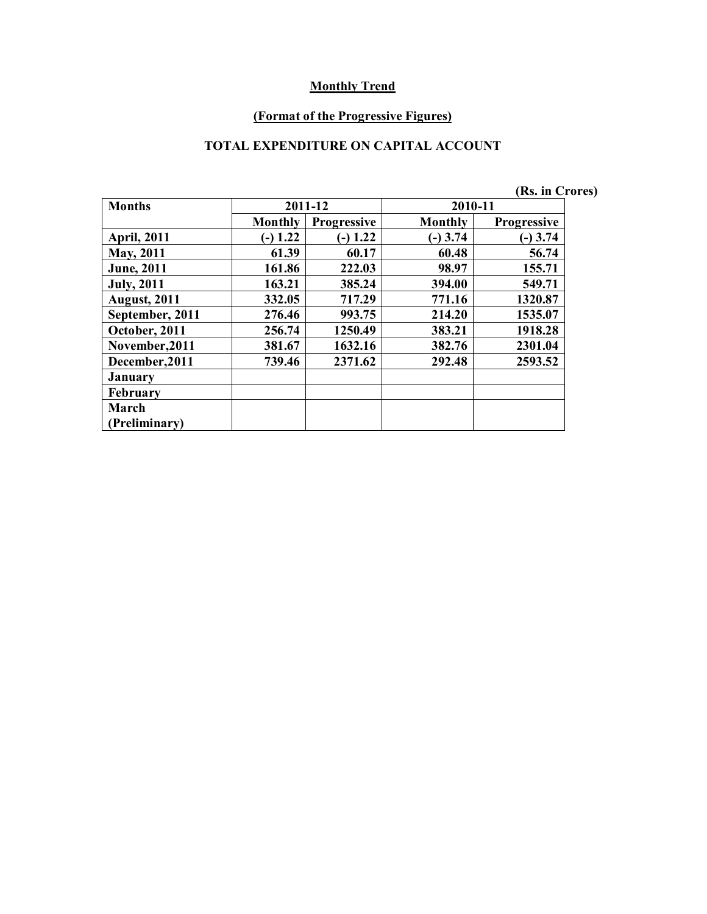#### **(Format of the Progressive Figures)**

### **TOTAL EXPENDITURE ON CAPITAL ACCOUNT**

|                     |            |             |                | (Rs. in Crores)    |  |
|---------------------|------------|-------------|----------------|--------------------|--|
| <b>Months</b>       |            | 2011-12     | 2010-11        |                    |  |
|                     | Monthly    | Progressive | <b>Monthly</b> | <b>Progressive</b> |  |
| <b>April, 2011</b>  | $(-) 1.22$ | $(-) 1.22$  | $(-)$ 3.74     | $(-)$ 3.74         |  |
| <b>May, 2011</b>    | 61.39      | 60.17       | 60.48          | 56.74              |  |
| <b>June</b> , 2011  | 161.86     | 222.03      | 98.97          | 155.71             |  |
| <b>July, 2011</b>   | 163.21     | 385.24      | 394.00         | 549.71             |  |
| <b>August, 2011</b> | 332.05     | 717.29      | 771.16         | 1320.87            |  |
| September, 2011     | 276.46     | 993.75      | 214.20         | 1535.07            |  |
| October, 2011       | 256.74     | 1250.49     | 383.21         | 1918.28            |  |
| November, 2011      | 381.67     | 1632.16     | 382.76         | 2301.04            |  |
| December, 2011      | 739.46     | 2371.62     | 292.48         | 2593.52            |  |
| <b>January</b>      |            |             |                |                    |  |
| <b>February</b>     |            |             |                |                    |  |
| March               |            |             |                |                    |  |
| (Preliminary)       |            |             |                |                    |  |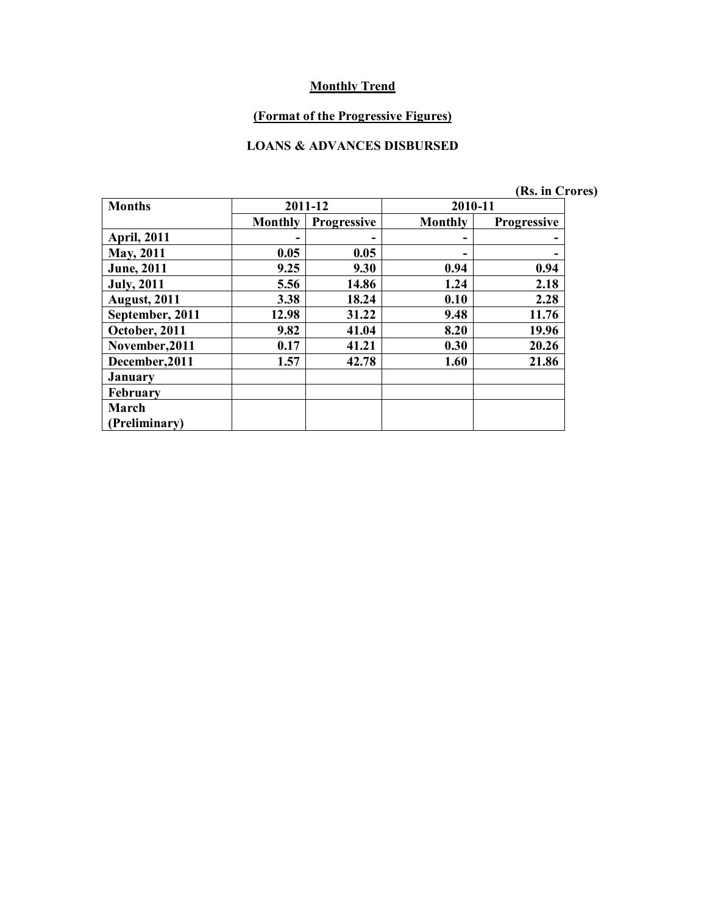#### **(Format of the Progressive Figures)**

#### **LOANS & ADVANCES DISBURSED**

|  | (Rs. in Crores) |
|--|-----------------|

| <b>Months</b>        |                | 2011-12            | 2010-11 |                    |  |
|----------------------|----------------|--------------------|---------|--------------------|--|
|                      | <b>Monthly</b> | <b>Progressive</b> | Monthly | <b>Progressive</b> |  |
| <b>April, 2011</b>   |                |                    | -       |                    |  |
| May, 2011            | 0.05           | 0.05               | -       |                    |  |
| <b>June</b> , 2011   | 9.25           | 9.30               | 0.94    | 0.94               |  |
| <b>July, 2011</b>    | 5.56           | 14.86              | 1.24    | 2.18               |  |
| <b>August, 2011</b>  | 3.38           | 18.24              | 0.10    | 2.28               |  |
| September, 2011      | 12.98          | 31.22              | 9.48    | 11.76              |  |
| October, 2011        | 9.82           | 41.04              | 8.20    | 19.96              |  |
| November, 2011       | 0.17           | 41.21              | 0.30    | 20.26              |  |
| December, 2011       | 1.57           | 42.78              | 1.60    | 21.86              |  |
| <b>January</b>       |                |                    |         |                    |  |
| <b>February</b>      |                |                    |         |                    |  |
| March                |                |                    |         |                    |  |
| <b>Preliminary</b> ) |                |                    |         |                    |  |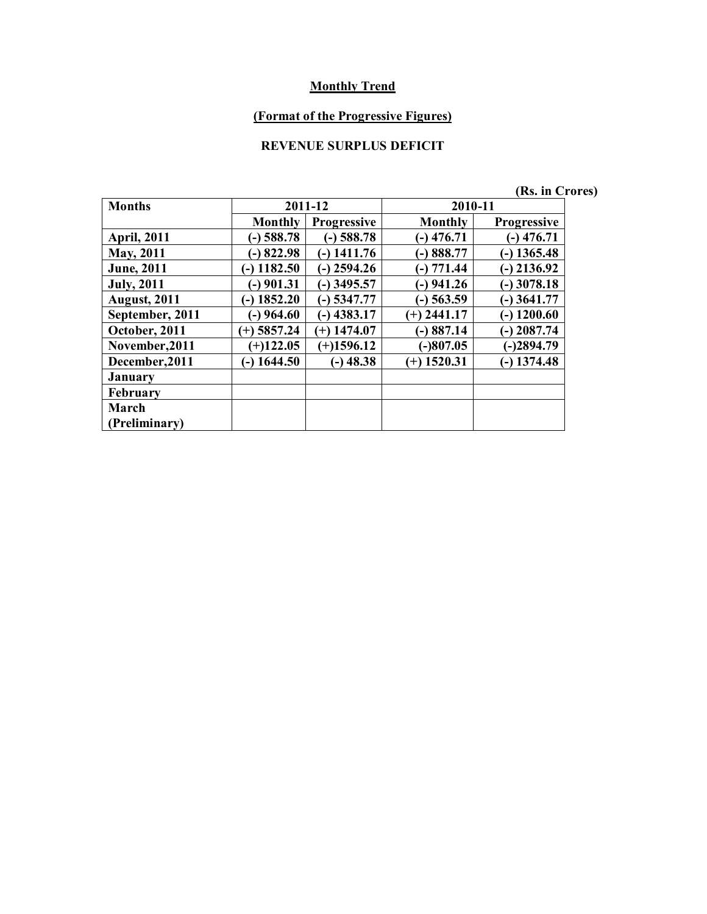## **(Format of the Progressive Figures)**

# **REVENUE SURPLUS DEFICIT**

|  | (Rs. in Crores) |
|--|-----------------|

| <b>Months</b>       |                | 2011-12            | 2010-11       |                    |  |
|---------------------|----------------|--------------------|---------------|--------------------|--|
|                     | <b>Monthly</b> | <b>Progressive</b> | Monthly       | <b>Progressive</b> |  |
| <b>April, 2011</b>  | $(-)$ 588.78   | $(-)$ 588.78       | $(-)$ 476.71  | $-$ ) 476.71       |  |
| May, 2011           | $-$ 822.98     | $-$ ) 1411.76      | $-)888.77$    | $-$ ) 1365.48      |  |
| <b>June</b> , 2011  | $(-)$ 1182.50  | $-$ ) 2594.26      | $(-) 771.44$  | 2136.92            |  |
| <b>July, 2011</b>   | $-$ ) 901.31   | $(-)$ 3495.57      | $(-)$ 941.26  | $-$ ) 3078.18      |  |
| <b>August, 2011</b> | $(-)$ 1852.20  | $(-)$ 5347.77      | $-$ ) 563.59  | $-$ ) 3641.77      |  |
| September, 2011     | $(-)$ 964.60   | $(-)$ 4383.17      | $(+)$ 2441.17 | $-$ ) 1200.60      |  |
| October, 2011       | $(+)$ 5857.24  | $(+)$ 1474.07      | $-)887.14$    | $-$ ) 2087.74      |  |
| November, 2011      | $(+)122.05$    | $(+)1596.12$       | $ 807.05$     | $(-)2894.79$       |  |
| December, 2011      | $(-)$ 1644.50  | $(-)$ 48.38        | $(+)$ 1520.31 | $-$ ) 1374.48      |  |
| <b>January</b>      |                |                    |               |                    |  |
| <b>February</b>     |                |                    |               |                    |  |
| March               |                |                    |               |                    |  |
| (Preliminary)       |                |                    |               |                    |  |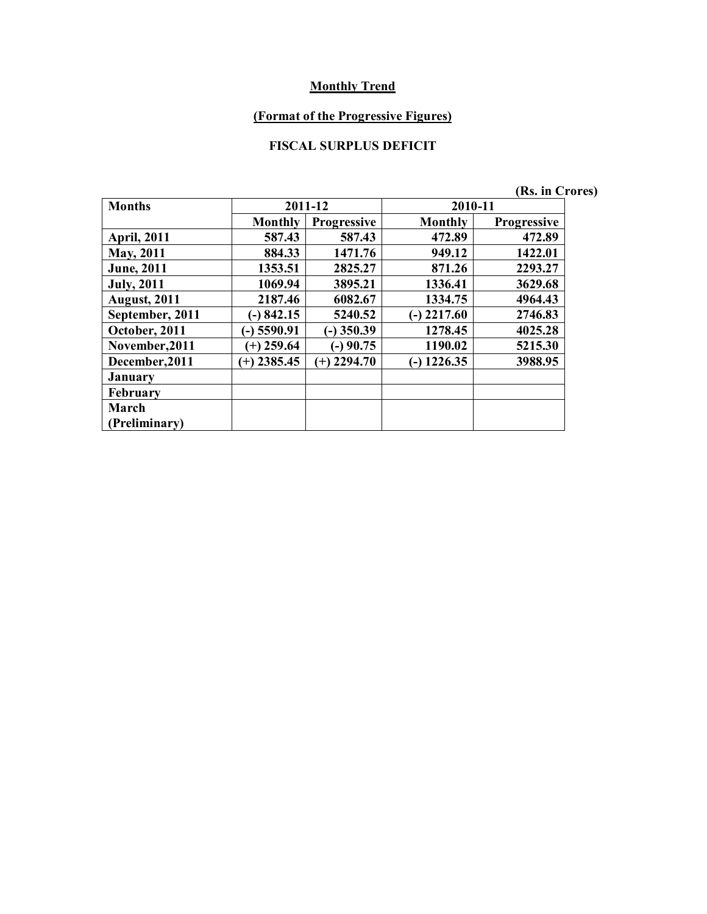## **(Format of the Progressive Figures)**

## **FISCAL SURPLUS DEFICIT**

|                     |                        |                     |                 | (Rs. in Crores)    |  |
|---------------------|------------------------|---------------------|-----------------|--------------------|--|
| <b>Months</b>       |                        | 2011-12             | 2010-11         |                    |  |
|                     | <b>Monthly</b>         | <b>Progressive</b>  | Monthly         | <b>Progressive</b> |  |
| <b>April, 2011</b>  | 587.43                 | 587.43              | 472.89          | 472.89             |  |
| <b>May, 2011</b>    | 884.33                 | 1471.76             | 949.12          | 1422.01            |  |
| <b>June</b> , 2011  | 1353.51                | 2825.27             | 871.26          | 2293.27            |  |
| <b>July, 2011</b>   | 1069.94                | 3895.21             | 1336.41         | 3629.68            |  |
| <b>August, 2011</b> | 2187.46                | 6082.67             | 1334.75         | 4964.43            |  |
| September, 2011     | 842.15<br>$\mathbf{-}$ | 5240.52             | 2217.60<br>(۔ ا | 2746.83            |  |
| October, 2011       | 5590.91                | $(-)$ 350.39        | 1278.45         | 4025.28            |  |
| November, 2011      | $(+)$ 259.64           | $(-)$ 90.75         | 1190.02         | 5215.30            |  |
| December, 2011      | $(+)$ 2385.45          | 2294.70<br>$^{(+)}$ | $-$ ) 1226.35   | 3988.95            |  |
| January             |                        |                     |                 |                    |  |
| <b>February</b>     |                        |                     |                 |                    |  |
| March               |                        |                     |                 |                    |  |
| (Preliminary)       |                        |                     |                 |                    |  |